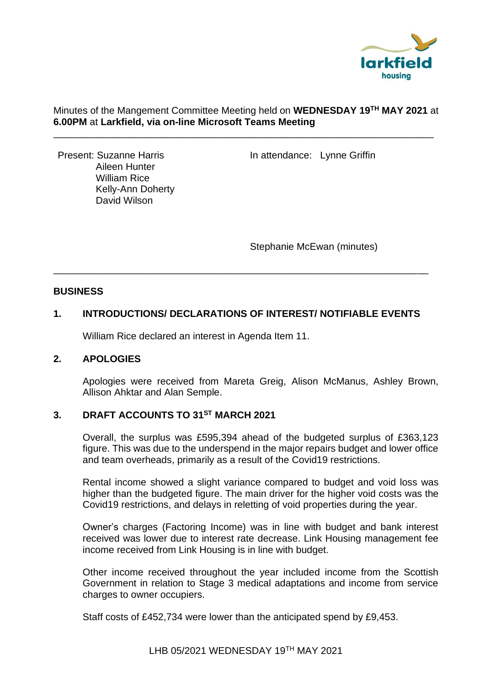

## Minutes of the Mangement Committee Meeting held on **WEDNESDAY 19TH MAY 2021** at **6.00PM** at **Larkfield, via on-line Microsoft Teams Meeting**

\_\_\_\_\_\_\_\_\_\_\_\_\_\_\_\_\_\_\_\_\_\_\_\_\_\_\_\_\_\_\_\_\_\_\_\_\_\_\_\_\_\_\_\_\_\_\_\_\_\_\_\_\_\_\_\_\_\_\_\_\_\_\_\_\_\_\_\_\_\_

 Aileen Hunter William Rice Kelly-Ann Doherty David Wilson

Present: Suzanne Harris **In attendance: Lynne Griffin** 

Stephanie McEwan (minutes)

## **BUSINESS**

## **1. INTRODUCTIONS/ DECLARATIONS OF INTEREST/ NOTIFIABLE EVENTS**

\_\_\_\_\_\_\_\_\_\_\_\_\_\_\_\_\_\_\_\_\_\_\_\_\_\_\_\_\_\_\_\_\_\_\_\_\_\_\_\_\_\_\_\_\_\_\_\_\_\_\_\_\_\_\_\_\_\_\_\_\_\_\_\_\_\_\_\_\_

William Rice declared an interest in Agenda Item 11.

## **2. APOLOGIES**

Apologies were received from Mareta Greig, Alison McManus, Ashley Brown, Allison Ahktar and Alan Semple.

# **3. DRAFT ACCOUNTS TO 31ST MARCH 2021**

Overall, the surplus was £595,394 ahead of the budgeted surplus of £363,123 figure. This was due to the underspend in the major repairs budget and lower office and team overheads, primarily as a result of the Covid19 restrictions.

Rental income showed a slight variance compared to budget and void loss was higher than the budgeted figure. The main driver for the higher void costs was the Covid19 restrictions, and delays in reletting of void properties during the year.

Owner's charges (Factoring Income) was in line with budget and bank interest received was lower due to interest rate decrease. Link Housing management fee income received from Link Housing is in line with budget.

Other income received throughout the year included income from the Scottish Government in relation to Stage 3 medical adaptations and income from service charges to owner occupiers.

Staff costs of £452,734 were lower than the anticipated spend by £9,453.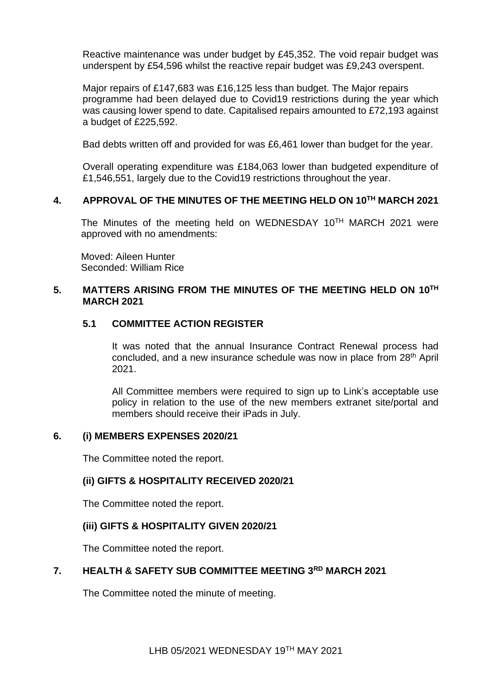Reactive maintenance was under budget by £45,352. The void repair budget was underspent by £54,596 whilst the reactive repair budget was £9,243 overspent.

Major repairs of £147,683 was £16,125 less than budget. The Major repairs programme had been delayed due to Covid19 restrictions during the year which was causing lower spend to date. Capitalised repairs amounted to £72,193 against a budget of £225,592.

Bad debts written off and provided for was £6,461 lower than budget for the year.

Overall operating expenditure was £184,063 lower than budgeted expenditure of £1,546,551, largely due to the Covid19 restrictions throughout the year.

## **4. APPROVAL OF THE MINUTES OF THE MEETING HELD ON 10TH MARCH 2021**

The Minutes of the meeting held on WEDNESDAY 10TH MARCH 2021 were approved with no amendments:

Moved: Aileen Hunter Seconded: William Rice

## **5. MATTERS ARISING FROM THE MINUTES OF THE MEETING HELD ON 10TH MARCH 2021**

## **5.1 COMMITTEE ACTION REGISTER**

It was noted that the annual Insurance Contract Renewal process had concluded, and a new insurance schedule was now in place from 28th April 2021.

All Committee members were required to sign up to Link's acceptable use policy in relation to the use of the new members extranet site/portal and members should receive their iPads in July.

## **6. (i) MEMBERS EXPENSES 2020/21**

The Committee noted the report.

## **(ii) GIFTS & HOSPITALITY RECEIVED 2020/21**

The Committee noted the report.

## **(iii) GIFTS & HOSPITALITY GIVEN 2020/21**

The Committee noted the report.

## **7. HEALTH & SAFETY SUB COMMITTEE MEETING 3RD MARCH 2021**

The Committee noted the minute of meeting.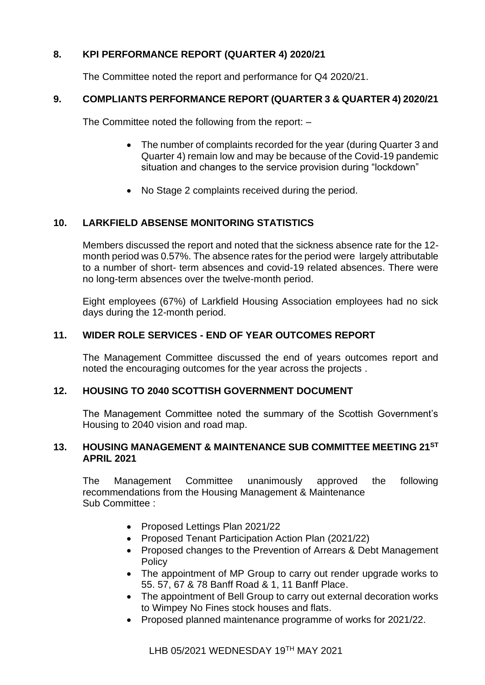# **8. KPI PERFORMANCE REPORT (QUARTER 4) 2020/21**

The Committee noted the report and performance for Q4 2020/21.

## **9. COMPLIANTS PERFORMANCE REPORT (QUARTER 3 & QUARTER 4) 2020/21**

The Committee noted the following from the report: –

- The number of complaints recorded for the year (during Quarter 3 and Quarter 4) remain low and may be because of the Covid-19 pandemic situation and changes to the service provision during "lockdown"
- No Stage 2 complaints received during the period.

## **10. LARKFIELD ABSENSE MONITORING STATISTICS**

Members discussed the report and noted that the sickness absence rate for the 12 month period was 0.57%. The absence rates for the period were largely attributable to a number of short- term absences and covid-19 related absences. There were no long-term absences over the twelve-month period.

Eight employees (67%) of Larkfield Housing Association employees had no sick days during the 12-month period.

## **11. WIDER ROLE SERVICES - END OF YEAR OUTCOMES REPORT**

The Management Committee discussed the end of years outcomes report and noted the encouraging outcomes for the year across the projects .

## **12. HOUSING TO 2040 SCOTTISH GOVERNMENT DOCUMENT**

The Management Committee noted the summary of the Scottish Government's Housing to 2040 vision and road map.

### **13. HOUSING MANAGEMENT & MAINTENANCE SUB COMMITTEE MEETING 21ST APRIL 2021**

The Management Committee unanimously approved the following recommendations from the Housing Management & Maintenance Sub Committee :

- Proposed Lettings Plan 2021/22
- Proposed Tenant Participation Action Plan (2021/22)
- Proposed changes to the Prevention of Arrears & Debt Management **Policy**
- The appointment of MP Group to carry out render upgrade works to 55. 57, 67 & 78 Banff Road & 1, 11 Banff Place.
- The appointment of Bell Group to carry out external decoration works to Wimpey No Fines stock houses and flats.
- Proposed planned maintenance programme of works for 2021/22.